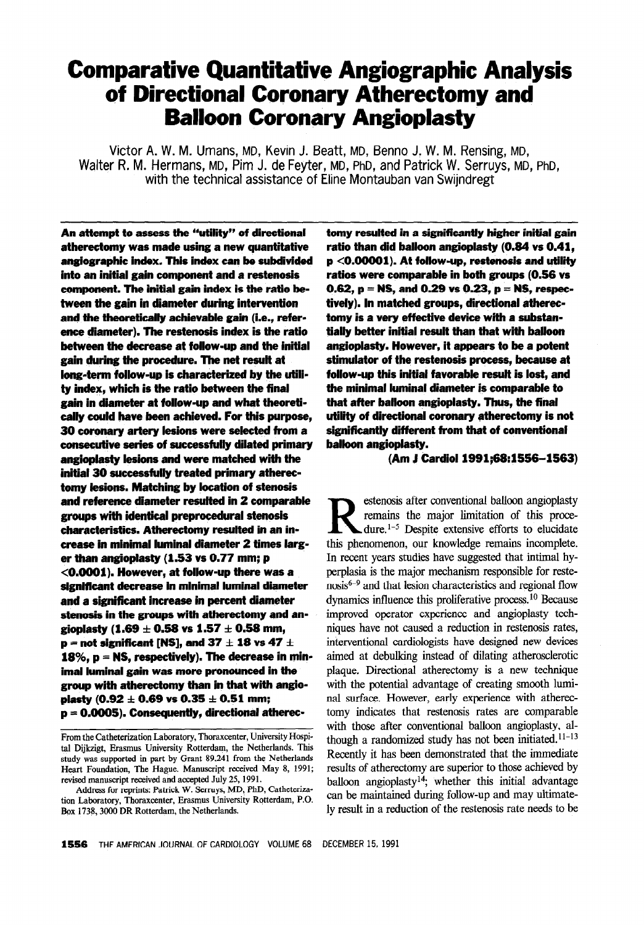# Comparative Quantitative Angiographic Analysis of Directional Coronary Atherectomy and Balloon Coronary Angioplasty

Victor A. W. M. Umans, MD, Kevin J. Beatt, MD, Benno J. W. M. Rensing, MD, Walter R. M. Hermans, MD, Pim J. de Feyter, MD, PhD, and Patrick W. Serruys, MD, PhD, with the technical assistance of Eline Montauban van Swijndregt

An attempt to assess the "utility" of directional atherectomy was made using a new quantitative anglographic index. This index can be subdivided into an initial gain component and a restenosis component. The initial gain index is the ratio between the gain in diameter during intervention and the theoretically achievable gain (i.e., reference diameter). The restenosis index is the ratio between the decrease at follow-up and the initial gain during the procedure. The net result at long-term fofiow-up is characterized by the utiiity index, which is the ratio between the final gain in diameter at follow-up and what theoretically could have been achieved. Far this purpose, 30 coronary artery lesions were selected from a consecutive series of successfully dilated primary angiopiasty lesions and were matched with the initial 30 successfuiiy treated primary atherectomy lesions. Matching by location of stenosis and reference diameter resulted in 2 comparable groups with identical preprocedurai stenosis characteristics. Atherectomy resulted in an increase in minimal luminal diameter 2 times larger than angiopiasty (1.53 vs 0.77 mm; p <O.OOOl). However, at follow-up there was a significant decrease in minimal luminal diameter and a significant increase in percent diameter stenosis in the groups with atherectomy and angioplasty (1.69  $\pm$  0.58 vs 1.57  $\pm$  0.58 mm, **p** = not significant [NS], and 37  $\pm$  18 vs 47  $\pm$ 18%,  $p = NS$ , respectively). The decrease in minimal luminal gain was more pronounced in the group with atherectomy than in that with angioplasty (0.92  $\pm$  0.69 vs 0.35  $\pm$  0.51 mm;  $p = 0.0005$ ). Consequently, directional atherectomy resulted in a significantly higher initial gain ratio than did balloon angiopiasty (0.64 vs 0.41, p <O.OOOOl). At follow-up, restenosis and utility ratios were comparable in both groups (0.56 vs 0.62,  $p = NS$ , and 0.29 vs 0.23,  $p = NS$ , respectively). in matched groups, directional atherectomy is a very effective device wfth a substantially better initial result than that with balloon angiopiasty. However, it appears to be a potent stimulator of the restenosis process, because at follow-up this initial favorable resuft is lost, and the minimal luminal diameter is comparable to that after balloon angiopiasty. Thus, the final utility of directional coronary atherectomy is not significantly different from that of conventional balloon angioplasty.

#### (Am J Cardioi 1991;68:1566-1563)

Restenosis after conventional balloon angioplasty<br>
dure.<sup>1-5</sup> Despite extensive efforts to elucidate<br>
this absorption on large large in aggregate remains the major limitation of this procethis phenomenon, our knowledge remains incomplete. In recent years studies have suggested that intimal hyperplasia is the major mechanism responsible for reste $nosis<sup>6-9</sup>$  and that lesion characteristics and regional flow dynamics influence this proliferative process.<sup>10</sup> Because improved operator experience and angioplasty techniques have not caused a reduction in restenosis rates, interventional cardiologists have designed new devices aimed at debulking instead of dilating atherosclerotic plaque. Directional atherectomy is a new technique with the potential advantage of creating smooth luminal surface. However, early experience with atherectomy indicates that restenosis rates are comparable with those after conventional balloon angioplasty, although a randomized study has not been initiated. $11-13$ Recently it has been demonstrated that the immediate results of atherectomy are superior to those achieved by balloon angioplasty<sup>14</sup>; whether this initial advantage can be maintained during follow-up and may ultimately result in a reduction of the restenosis rate needs to be

From the Catheterization Laboratory, Thoraxcenter, University Hospital Dijkzigt, Erasmus University Rotterdam, the Netherlands. This study was supported in part by Grant 89.241 from the Netherlands Heart Foundation, The Hague. Manuscript received May 8, 1991; revised manuscript received and accepted July 25, 1991.

Address for reprints: Patrick W. Serruys, MD, PhD, Catheterization Laboratory, Thoraxcenter, Erasmus University Rotterdam, P.O. Box 1738, 3000 DR Rotterdam, the Netherlands.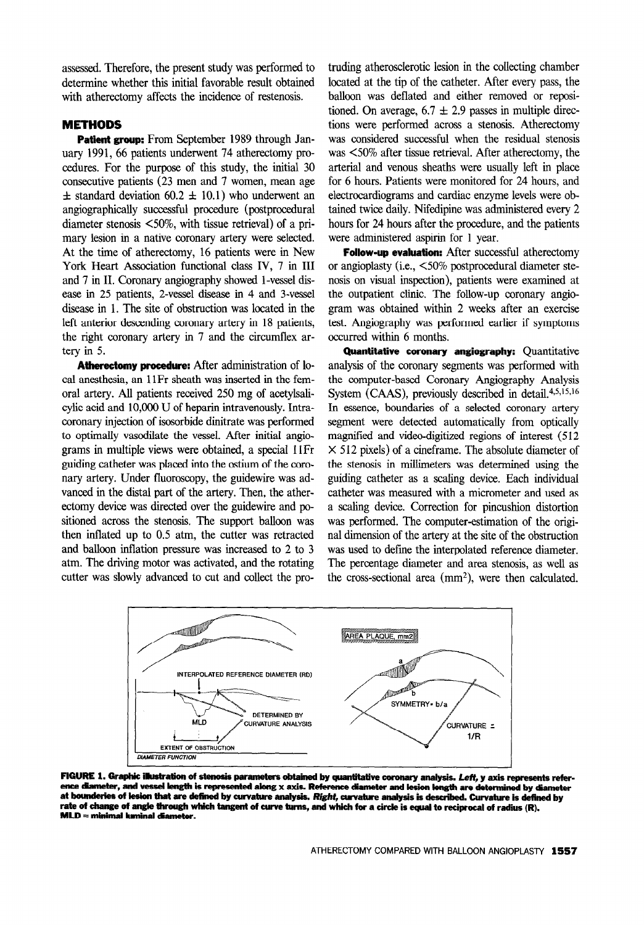assessed. Therefore, the present study was performed to determine whether this initial favorable result obtained with athercctomy affects the incidence of restenosis.

## METHODS

Patient group: From September 1989 through January 1991, 66 patients underwent 74 atherectomy procedures. For the purpose of this study, the initial 30 consecutive patients (23 men and 7 women, mean age  $\pm$  standard deviation 60.2  $\pm$  10.1) who underwent an angiographically successful procedure (postprocedural diameter stenosis <50%, with tissue retrieval) of a primary lesion in a native coronary artery were selected. At the time of atherectomy, 16 patients were in New York Heart Association functional class IV, 7 in III and 7 in II. Coronary angiography showed l-vessel disease in 25 patients, 2-vessel disease in 4 and 3-vessel disease in 1. The site of obstruction was located in the left anterior descending coronary artery in 18 patients, the right coronary artery in 7 and the circumflex artery in 5.

Atherectomy procedure: After administration of local anesthesia, an 11Fr sheath was inserted in the femoral artery. All patients received 250 mg of acetylsalicylic acid and 10,000 U of heparin intravenously. Intracoronary injection of isosorbide dinitrate was performed to optimally vasodilate the vessel. After initial angiograms in multiple views were obtained, a special 11Fr guiding catheter was placed into the ostium of the coronary artery. Under fluoroscopy, the guidewire was advanced in the distal part of the artery. Then, the atherectomy device was directed over the guidewire and positioned across the stenosis. The support balloon was then inflated up to 0.5 atm, the cutter was retracted and balloon inflation pressure was increased to 2 to 3 atm. The driving motor was activated, and the rotating cutter was slowly advanced to cut and collect the pro-

truding atherosclerotic lesion in the collecting chamber located at the tip of the catheter. After every pass, the balloon was deflated and either removed or repositioned. On average,  $6.7 \pm 2.9$  passes in multiple directions were performed across a stenosis. Atherectomy was considered successful when the residual stenosis was <50% after tissue retrieval. After atherectomy, the arterial and venous sheaths were usually left in place for 6 hours. Patients were monitored for 24 hours, and electrocardiograms and cardiac enzyme levels were obtained twice daily. Nifedipine was administered every 2 hours for 24 hours after the procedure, and the patients were administered aspirin for 1 year.

Follow-up evaluation: After successful atherectomy or angioplasty (i.e., <50% postprocedural diameter stenosis on visual inspection), patients were examined at the outpatient clinic, The follow-up coronary angiogram was obtained within 2 weeks after an exercise test. Angiography was performed earlier if symptoms occurred within 6 months.

Quantitative coronary angiography: Quantitative analysis of the coronary segments was performed with the computer-based Coronary Angiography Analysis System (CAAS), previously described in detail. $4,5,15,16$ In essence, boundaries of a selected coronary artery segment were detected automatically from optically magnified and video-digitized regions of interest (512  $\times$  512 pixels) of a cineframe. The absolute diameter of the stenosis in millimeters was determined using the guiding catheter as a scaling device. Each individual catheter was measured with a micrometer and used as a scaling device. Correction for pincushion distortion was performed. The computer-estimation of the original dimension of the artery at the site of the obstruction was used to define the interpolated reference diameter. The percentage diameter and area stenosis, as well as the cross-sectional area  $(mm<sup>2</sup>)$ , were then calculated.



FIGURE 1. Graphic illustration of stenosis parameters obtained by quantitative coronary analysis. Left, y axis represents reference diameter, and vessel length is represented along x axis. Reference diameter and lesion length are determined by diameter at bounderies of lesion that are defined by curvature analysis. Right, curvature analysis is described. Curvature is defined by rate of change of angle through which tangent of curve turns, and which for a circle is equal to reciprocal of radius (R).  $MLD = minimal$  keninal diameter.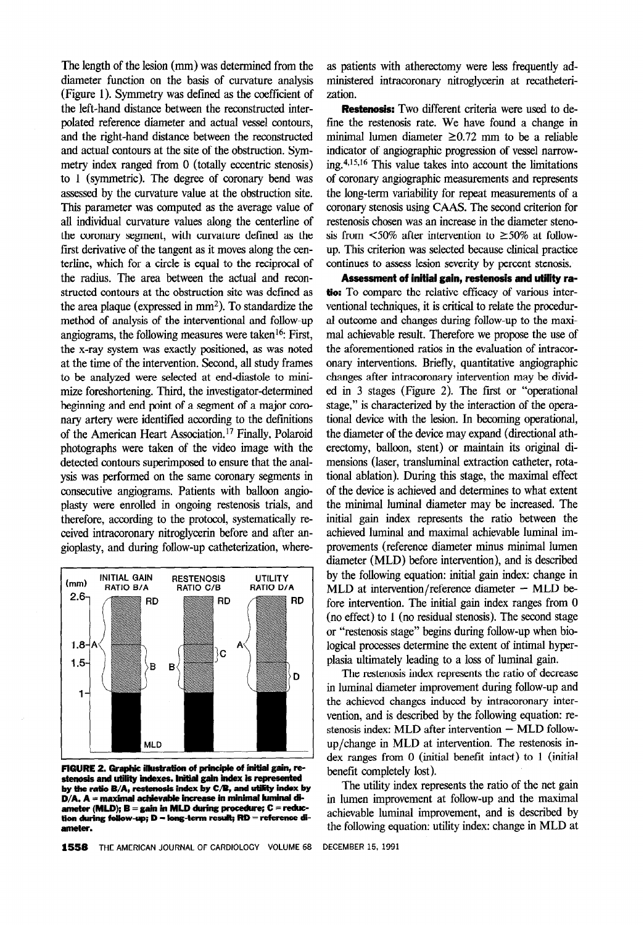The length of the lesion (mm) was determined from the diameter function on the basis of curvature analysis (Figure 1). Symmetry was defined as the coefficient of the left-hand distance between the reconstructed interpolated reference diameter and actual vessel contours, and the right-hand distance between the reconstructed and actual contours at the site of the obstruction. Symmetry index ranged from 0 (totally eccentric stenosis) to 1 (symmetric). The degree of coronary bend was assessed by the curvature value at the obstruction site. This parameter was computed as the average value of all individual curvature values along the centerline of the coronary segment, with curvature defined as the first derivative of the tangent as it moves along the centerline, which for a circle is equal to the reciprocal of the radius. The area between the actual and reconstructed contours at the obstruction site was defined as the area plaque (expressed in  $mm<sup>2</sup>$ ). To standardize the method of analysis of the interventional and follow-up angiograms, the following measures were taken<sup>16</sup>: First, the x-ray system was exactly positioned, as was noted at the time of the intervention. Second, all study frames to be analyzed were selected at end-diastole to minimize foreshortening. Third, the investigator-determined beginning and end point of a segment of a major coronary artery were identified according to the defmitions of the American Heart Association.17 Finally, Polaroid photographs were taken of the video image with the detected contours superimposed to ensure that the analysis was performed on the same coronary segments in consecutive angiograms. Patients with balloon angioplasty were enrolled in ongoing restenosis trials, and therefore, according to the protocol, systematically received intracoronary nitroglycerin before and after angioplasty, and during follow-up catheterization, where-



FIGURE 2. Graphic illustration of principle of initial gain, restenosis and utility indexes. Initial gain index is represented by the ratio B/A, restenosis index by C/B, and utility index by  $D/A$ . A = maximal achievable increase in minimal luminal diameter (MLD);  $B = gain$  in MLD during procedure;  $C =$  reduction during follow-up;  $D =$  long-term result;  $RD =$  reference diameter.

as patients with atherectomy were less frequently administered intracoronary nitroglycerin at recatheterization.

Restenosis: Two different criteria were used to define the restenosis rate. We have found a change in minimal lumen diameter  $\geq 0.72$  mm to be a reliable indicator of angiographic progression of vessel narrowing. $4,15,16$  This value takes into account the limitations of coronary angiographic measurements and represents the long-term variability for repeat measurements of a coronary stenosis using CAAS. The second criterion for restenosis chosen was an increase in the diameter stenosis from  $\leq 50\%$  after intervention to  $\geq 50\%$  at followup. This criterion was selected because clinical practice continues to assess lesion severity by percent stenosis.

Assessment of initial gain, restenosis and utility ratio: To compare the relative efficacy of various interventional techniques, it is critical to relate the procedural outcome and changes during follow-up to the maximal achievable result. Therefore we propose the use of the aforementioned ratios in the evaluation of intracoronary interventions. Briefly, quantitative angiographic changes after intracoronary intervention may be divided in 3 stages (Figure 2). The first or "operational stage," is characterized by the interaction of the operational device with the lesion. In becoming operational, the diameter of the device may expand (directional atherectomy, balloon, stent) or maintain its original dimensions (laser, transluminal extraction catheter, rotational ablation). During this stage, the maximal effect of the device is achieved and determines to what extent the minimal luminal diameter may be increased. The initial gain index represents the ratio between the achieved luminal and maximal achievable luminal improvements (reference diameter minus minimal lumen diameter (MLD) before intervention), and is described by the following equation: initial gain index: change in  $MLD$  at intervention/reference diameter  $-$  MLD before intervention. The initial gain index ranges from 0 (no effect) to 1 (no residual stenosis). The second stage or "restenosis stage" begins during follow-up when biological processes determine the extent of intimal hyperplasia ultimately leading to a loss of luminal gain.

The restenosis index represents the ratio of decrease in luminal diameter improvement during follow-up and the achieved changes induced by intracoronary intervention, and is described by the following equation: restenosis index: MLD after intervention - MLD followup/change in MLD at intervention. The restenosis index ranges from 0 (initial benefit intact) to 1 (initial benefit completely lost).

The utility index represents the ratio of the net gain in lumen improvement at follow-up and the maximal achievable luminal improvement, and is described by the following equation: utility index: change in MLD at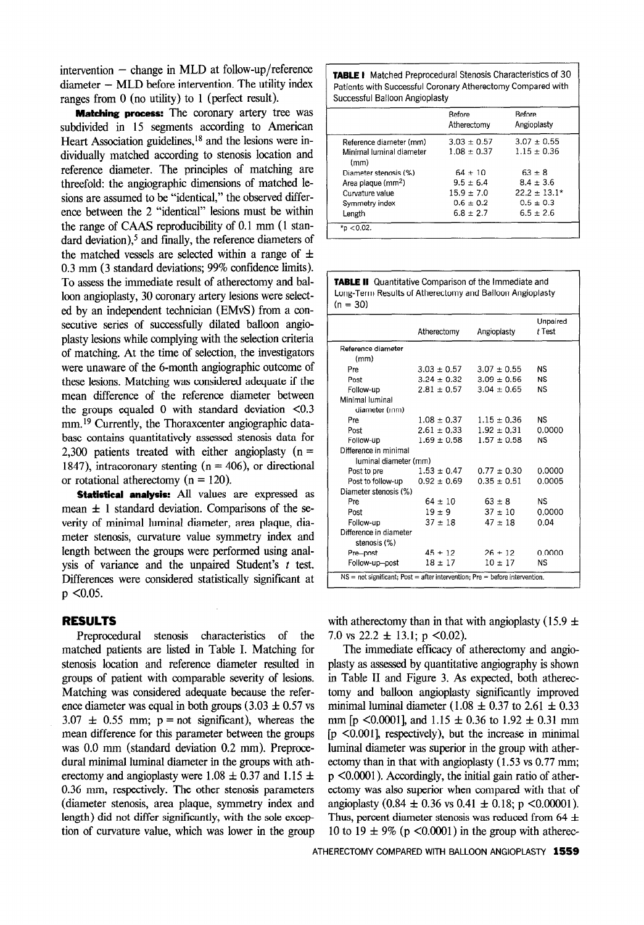intervention  $-$  change in MLD at follow-up/reference  $diameter - MLP$  before intervention. The utility index ranges from 0 (no utility) to 1 (perfect result).

**Matching process:** The coronary artery tree was subdivided in 15 segments according to American Heart Association guidelines, $18$  and the lesions were individually matched according to stenosis location and reference diameter. The principles of matching are threefold: the angiographic dimensions of matched lesions are assumed to be "identical," the observed difference between the 2 "identical" lesions must be within the range of CAAS reproducibility of 0.1 mm (1 standard deviation), $5$  and finally, the reference diameters of the matched vessels are selected within a range of  $\pm$ 0.3 mm (3 standard deviations; 99% confidence limits). To assess the immediate result of atherectomy and balloon angioplasty, 30 coronary artery lesions were selected by an independent technician (EMvS) from a consecutive series of successfully dilated balloon angioplasty lesions while complying with the selection criteria of matching. At the time of selection, the investigators were unaware of the 6-month angiographic outcome of these lesions. Matching was considered adequate if the mean difference of the reference diameter between the groups equaled 0 with standard deviation  $\leq 0.3$ mm.<sup>19</sup> Currently, the Thoraxcenter angiographic database contains quantitatively assessed stenosis data for 2,300 patients treated with either angioplasty  $(n =$ 1847), intracoronary stenting  $(n = 406)$ , or directional or rotational atherectomy  $(n = 120)$ .

Statistical analysis: All values are expressed as mean  $\pm$  1 standard deviation. Comparisons of the severity of minimal luminal diameter, area plaque, diameter stenosis, curvature value symmetry index and length between the groups were performed using analysis of variance and the unpaired Student's  $t$  test. Differences were considered statistically significant at  $p$  < 0.05.

### RESULTS

Preprocedural stenosis characteristics of the matched patients are listed in Table I. Matching for stenosis location and reference diameter resulted in groups of patient with comparable severity of lesions. Matching was considered adequate because the reference diameter was equal in both groups  $(3.03 \pm 0.57 \text{ vs }$  $3.07 \pm 0.55$  mm; p = not significant), whereas the mean difference for this parameter between the groups was 0.0 mm (standard deviation 0.2 mm). Preprocedural minimal luminal diameter in the groups with atherectomy and angioplasty were 1.08  $\pm$  0.37 and 1.15  $\pm$ 0.36 mm, respectively. The other stenosis parameters (diameter stenosis, area plaque, symmetry index and length) did not differ significantly, with the sole exception of curvature value, which was lower in the group **TABLE I** Matched Preprocedural Stenosis Characteristics of 30 Patients with Successful Coronary Atherectomy Compared with Successful Balloon Angioplasty

|                                  | <b>Before</b><br>Atherectomy | <b>Before</b><br>Angioplasty |
|----------------------------------|------------------------------|------------------------------|
| Reference diameter (mm)          | $3.03 \pm 0.57$              | $3.07 \pm 0.55$              |
| Minimal luminal diameter<br>(mm) | $1.08 \pm 0.37$              | $1.15 \pm 0.36$              |
| Diameter stenosis (%)            | $64 \pm 10$                  | $63 \pm 8$                   |
| Area plaque (mm <sup>2</sup> )   | $9.5 \pm 6.4$                | $8.4 + 3.6$                  |
| Curvature value                  | $15.9 \pm 7.0$               | $22.2 + 13.1*$               |
| Symmetry index                   | $0.6 \pm 0.2$                | $0.5 \pm 0.3$                |
| Length                           | $6.8 + 2.7$                  | $6.5 \pm 2.6$                |

**TABLE II** Quantitative Comparison of the Immediate and Long-Term Results of Atherectomy and Balloon Angioplasty  $(n = 30)$ 

|                                                                               | Atherectomy     | Angioplasty     | Unpaired<br>t Test |  |  |
|-------------------------------------------------------------------------------|-----------------|-----------------|--------------------|--|--|
| Reference diameter                                                            |                 |                 |                    |  |  |
| (mm)                                                                          |                 |                 |                    |  |  |
| Pre                                                                           | $3.03 \pm 0.57$ | $3.07 \pm 0.55$ | NS.                |  |  |
| Post                                                                          | $3.24 \pm 0.32$ | $3.09 \pm 0.56$ | <b>NS</b>          |  |  |
| Follow-up                                                                     | $2.81 \pm 0.57$ | $3.04 \pm 0.65$ | NS.                |  |  |
| Minimal luminal                                                               |                 |                 |                    |  |  |
| diameter (mm)                                                                 |                 |                 |                    |  |  |
| Pre.                                                                          | $1.08 \pm 0.37$ | $1.15 \pm 0.36$ | NS.                |  |  |
| Post                                                                          | $2.61 \pm 0.33$ | $1.92 \pm 0.31$ | 0.0000             |  |  |
| Follow-up                                                                     | $1.69 \pm 0.58$ | $1.57 \pm 0.58$ | <b>NS</b>          |  |  |
| Difference in minimal                                                         |                 |                 |                    |  |  |
| luminal diameter (mm)                                                         |                 |                 |                    |  |  |
| Post to pre                                                                   | $1.53 \pm 0.47$ | $0.77 \pm 0.30$ | 0.0000             |  |  |
| Post to follow-up $0.92 \pm 0.69$                                             |                 | $0.35 \pm 0.51$ | 0.0005             |  |  |
| Diameter stenosis (%)                                                         |                 |                 |                    |  |  |
| Pre                                                                           | $64 \pm 10$     | $63 \pm 8$      | NS.                |  |  |
| Post                                                                          | $19 \pm 9$      | $37 \pm 10$     | 0.0000             |  |  |
| Follow-up                                                                     | $37 + 18$       | $47 \pm 18$     | 0.04               |  |  |
| Difference in diameter                                                        |                 |                 |                    |  |  |
| stenosis (%)                                                                  |                 |                 |                    |  |  |
| Pre-post                                                                      | $45 \pm 12$     | $26 + 12$       | 0.0000             |  |  |
| Follow-up-post                                                                | $18 \pm 17$     | $10 \pm 17$     | NS.                |  |  |
| $NS = not$ significant; Post = after intervention; Pre = before intervention. |                 |                 |                    |  |  |

with atherectomy than in that with angioplasty (15.9  $\pm$ 7.0 vs 22.2  $\pm$  13.1; p <0.02).

The immediate efficacy of atherectomy and angioplasty as assessed by quantitative angiography is shown in Table II and Figure 3. As expected, both atherectomy and balloon angioplasty significantly improved minimal luminal diameter (1.08  $\pm$  0.37 to 2.61  $\pm$  0.33 mm [p <0.0001], and 1.15  $\pm$  0.36 to 1.92  $\pm$  0.31 mm  $[p \le 0.001]$ , respectively), but the increase in minimal luminal diameter was superior in the group with atherectomy than in that with angioplasty (1.53 vs 0.77 mm; p <O.OOOl). Accordingly, the initial gain ratio of atherectomy was also superior when compared with that of angioplasty  $(0.84 \pm 0.36 \text{ vs } 0.41 \pm 0.18; \text{ p} < 0.00001)$ . Thus, percent diameter stenosis was reduced from 64  $\pm$ 10 to 19  $\pm$  9% (p <0.0001) in the group with atherec-

ATHERECTOMY COMPARED WITH BALLOON ANGIOPLASTY 1559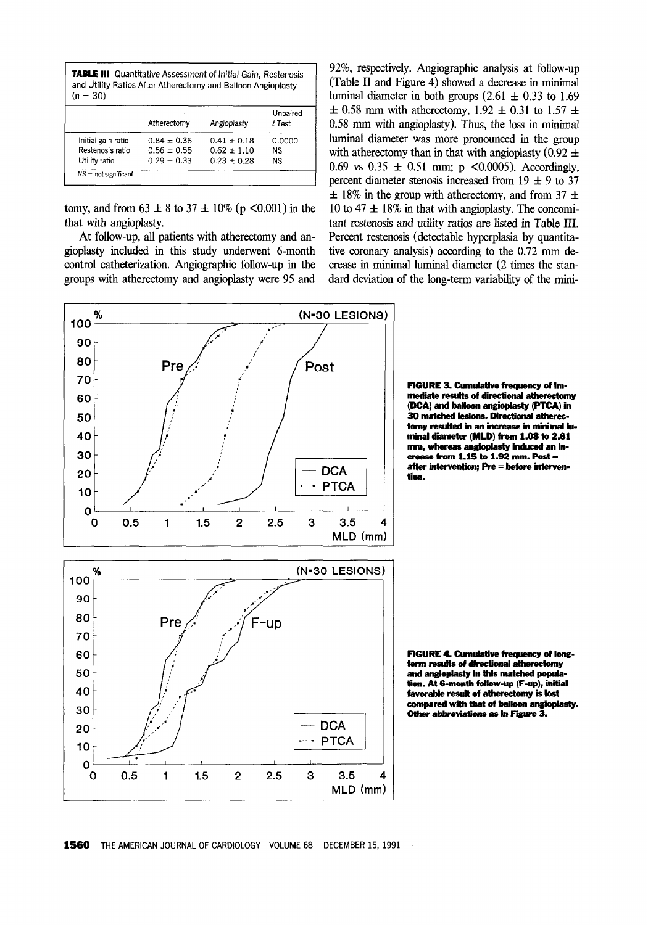| <b>TABLE III</b> Quantitative Assessment of Initial Gain, Restenosis<br>and Utility Ratios After Atherectomy and Balloon Angioplasty<br>$(n = 30)$ |                 |                 |                    |  |
|----------------------------------------------------------------------------------------------------------------------------------------------------|-----------------|-----------------|--------------------|--|
|                                                                                                                                                    | Atherectomy     | Angioplasty     | Unpaired<br>t Test |  |
| Initial gain ratio                                                                                                                                 | $0.84 + 0.36$   | $0.41 + 0.18$   | 0.0000             |  |
| Restenosis ratio                                                                                                                                   | $0.56 \pm 0.55$ | $0.62 \pm 1.10$ | <b>NS</b>          |  |
| Utility ratio                                                                                                                                      | $0.29 \pm 0.33$ | $0.23 \pm 0.28$ | <b>NS</b>          |  |
| $NS = not$ significant.                                                                                                                            |                 |                 |                    |  |

tomy, and from  $63 \pm 8$  to  $37 \pm 10\%$  (p <0.001) in the that with angioplasty.

At follow-up, all patients with atherectomy and angioplasty included in this study underwent 6-month control catheterization. Angiographic follow-up in the groups with atherectomy and angioplasty were 95 and

92%, respectively. Angiographic analysis at follow-up (Table II and Figure 4) showed a decrease in minimal luminal diameter in both groups  $(2.61 \pm 0.33 \text{ to } 1.69)$  $\pm$  0.58 mm with atherectomy, 1.92  $\pm$  0.31 to 1.57  $\pm$ 0.58 mm with angioplasty). Thus, the loss in minimal luminal diameter was more pronounced in the group with atherectomy than in that with angioplasty (0.92  $\pm$ 0.69 vs  $0.35 \pm 0.51$  mm; p <0.0005). Accordingly, percent diameter stenosis increased from  $19 \pm 9$  to 37  $\pm$  18% in the group with atherectomy, and from 37  $\pm$ 10 to 47  $\pm$  18% in that with angioplasty. The concomitant restenosis and utility ratios are listed in Table III. Percent restenosis (detectable hyperplasia by quantitative coronary analysis) according to the 0.72 mm decrease in minimal luminal diameter (2 times the standard deviation of the long-term variability of the mini-



FIGURE 3. Cumulative frequency of immediate resulis of directional atherectomy (DCA) and balloon angioplasty (PTCA) in 30 matched lesions. Directional atherectomy resulted in an increase in minimal luminal diameter (MLD) from 1.66 to 2.61 mm, whereas angioplasty induced an increase from  $1.15$  to  $1.92$  mm. Post  $=$ after intervention; Pre = before interventlon.

FIGURE 4. Cumulative frequency of longterm results of directional atherectomy and angioplasty in this matched population. At 6-month follow-up (F-up), initial favorable result of atherectomy is lost compared with that of balloon angioplasty. Other abbreviations as in Figure 3.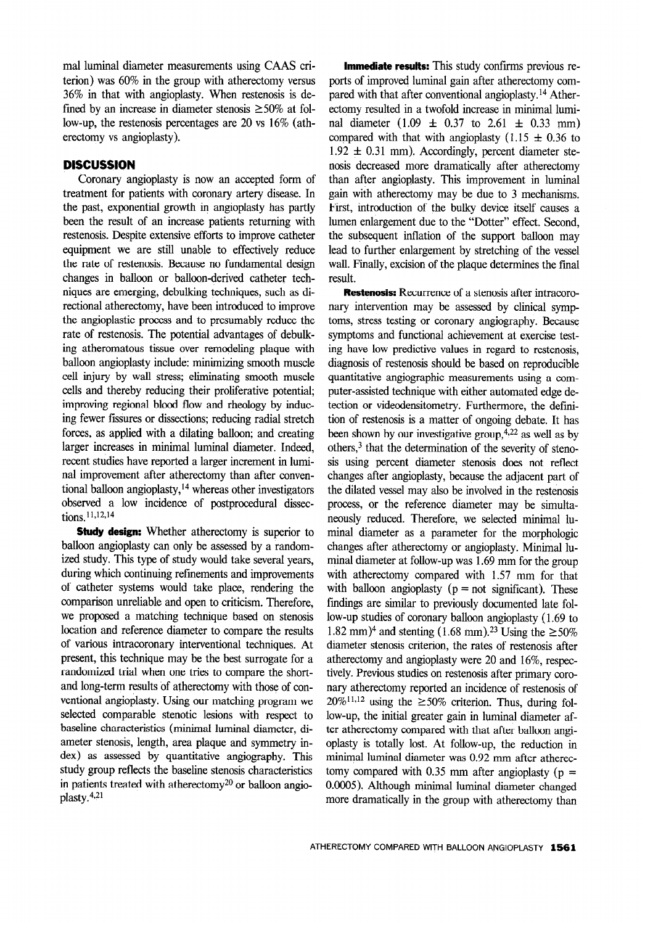ma1 luminal diameter measurements using CAAS criterion) was 60% in the group with atherectomy versus 36% in that with angioplasty. When restenosis is defined by an increase in diameter stenosis  $\geq 50\%$  at follow-up, the restenosis percentages are 20 vs 16% (atherectomy vs angioplasty).

## **DISCUSSION**

Coronary angioplasty is now an accepted form of treatment for patients with coronary artery disease. In the past, exponential growth in angioplasty has partly been the result of an increase patients returning with restenosis. Despite extensive efforts to improve catheter equipment we are still unable to effectively reduce the rate of restenosis. Because no fundamental design changes in balloon or balloon-derived catheter techniques are emerging, debulking techniques, such as directional atherectomy, have been introduced to improve the angioplastic process and to presumably reduce the rate of restenosis. The potential advantages of debulking atheromatous tissue over remodeling plaque with balloon angioplasty include: minimizing smooth muscle cell injury by wall stress; eliminating smooth muscle cells and thereby reducing their proliferative potential; improving regional blood flow and rheology by inducing fewer fissures or dissections; reducing radial stretch forces, as applied with a dilating balloon; and creating larger increases in minimal luminal diameter. Indeed, recent studies have reported a larger increment in luminal improvement after atherectomy than after conventional balloon angioplasty,  $14$  whereas other investigators observed a low incidence of postprocedural dissections 11,12,14

**Study design:** Whether atherectomy is superior to balloon angioplasty can only be assessed by a randomized study. This type of study would take several years, during which continuing refinements and improvements of catheter systems would take place, rendering the comparison unreliable and open to criticism. Therefore, we proposed a matching technique based on stenosis location and reference diameter to compare the results of various intracoronary interventional techniques. At present, this technique may be the best surrogate for a randomized trial when one tries to compare the shortand long-term results of atherectomy with those of conventional angioplasty. Using our matching program we selected comparable stenotic lesions with respect to baseline characteristics (minimal luminal diameter, diameter stenosis, length, area plaque and symmetry index) as assessed by quantitative angiography. This study group reflects the baseline stenosis characteristics in patients treated with atherectomy<sup>20</sup> or balloon angioplasty.4,21

**Immediate results:** This study confirms previous reports of improved luminal gain after atherectomy compared with that after conventional angioplasty.<sup>14</sup> Atherectomy resulted in a twofold increase in minimal luminal diameter  $(1.09 \pm 0.37 \text{ to } 2.61 \pm 0.33 \text{ mm})$ compared with that with angioplasty (1.15  $\pm$  0.36 to  $1.92 \pm 0.31$  mm). Accordingly, percent diameter stenosis decreased more dramatically after atherectomy than after angioplasty. This improvement in luminal gain with atherectomy may be due to 3 mechanisms. First, introduction of the bulky device itself causes a lumen enlargement due to the "Dotter" effect. Second, the subsequent inflation of the support balloon may lead to further enlargement by stretching of the vessel wall. Finally, excision of the plaque determines the final result.

Restenosis: Recurrence of a stenosis after intracoronary intervention may be assessed by clinical symptoms, stress testing or coronary angiography. Because symptoms and functional achievement at exercise testing have low predictive values in regard to restenosis, diagnosis of restenosis should be based on reproducible quantitative angiographic measurements using a computer-assisted technique with either automated edge detection or videodensitometry. Furthermore, the definition of restenosis is a matter of ongoing debate. It has been shown by our investigative group,  $4,22$  as well as by others, $3$  that the determination of the severity of stenosis using percent diameter stenosis does not reflect changes after angioplasty, because the adjacent part of the dilated vessel may also be involved in the restenosis process, or the reference diameter may be simultaneously reduced. Therefore, we selected minimal luminal diameter as a parameter for the morphologic changes after atherectomy or angioplasty. Minimal luminal diameter at follow-up was 1.69 mm for the group with atherectomy compared with 1.57 mm for that with balloon angioplasty ( $p = not$  significant). These findings are similar to previously documented late follow-up studies of coronary balloon angioplasty (1.69 to 1.82 mm)<sup>4</sup> and stenting (1.68 mm).<sup>23</sup> Using the  $\geq$  50% diameter stenosis criterion, the rates of restenosis after atherectomy and angioplasty were 20 and 16%, respectively. Previous studies on restenosis after primary coronary atherectomy reported an incidence of restenosis of  $20\%$ <sup>11,12</sup> using the  $\geq$  50% criterion. Thus, during follow-up, the initial greater gain in luminal diameter after atherectomy compared with that after balloon angioplasty is totally lost. At follow-up, the reduction in minimal luminal diameter was 0.92 mm after atherectomy compared with 0.35 mm after angioplasty ( $p =$ 0.0005). Although minimal luminal diameter changed more dramatically in the group with atherectomy than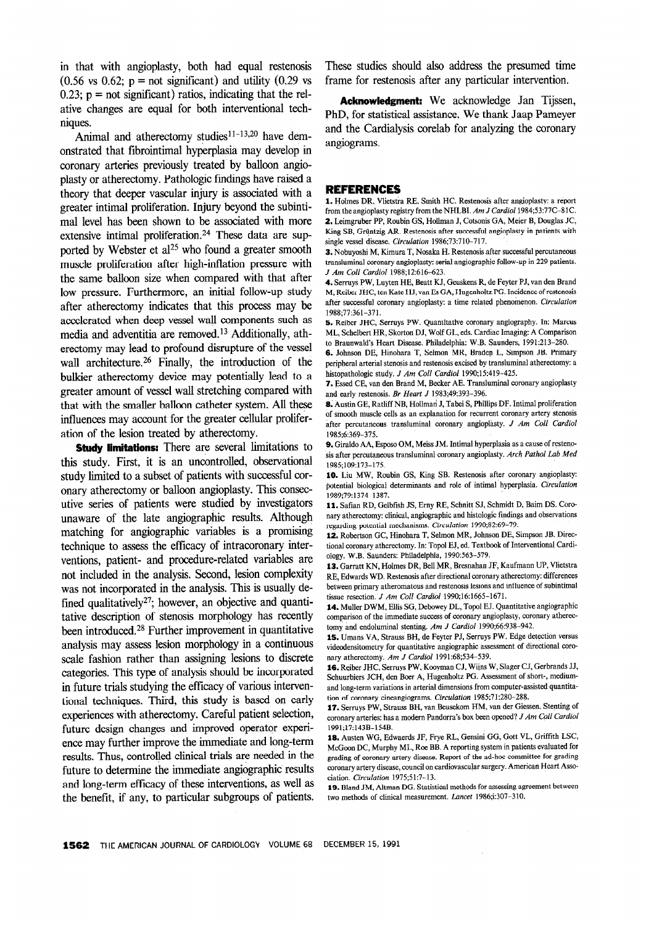in that with angioplasty, both had equal restenosis  $(0.56 \text{ vs } 0.62; \text{ p} = \text{not significant})$  and utility  $(0.29 \text{ vs } 0.62; \text{ p} = \text{not significant})$  $0.23$ ;  $p =$  not significant) ratios, indicating that the relative changes are equal for both interventional techniques.

Animal and atherectomy studies $11-13,20$  have demonstrated that fibrointimal hyperplasia may develop in coronary arteries previously treated by balloon angioplasty or atherectomy. Pathologic findings have raised a theory that deeper vascular injury is associated with a greater intimal proliferation. Injury beyond the subintima1 level has been shown to be associated with more extensive intimal proliferation.<sup>24</sup> These data are supported by Webster et al<sup>25</sup> who found a greater smooth muscle proliferation after high-inflation pressure with the same balloon size when compared with that after low pressure. Furthermore, an initial follow-up study after atherectomy indicates that this process may be accelerated when deep vessel wall components such as media and adventitia are removed.13 Additionally, atherectomy may lead to profound disrupture of the vessel wall architecture.<sup>26</sup> Finally, the introduction of the bulkier atherectomy device may potentially lead to a greater amount of vessel wall stretching compared with that with the smaller balloon catheter system. All these influences may account for the greater cellular proliferation of the lesion treated by atherectomy.

**Study limitations:** There are several limitations to this study. First, it is an uncontrolled, observational study limited to a subset of patients with successful coronary atherectomy or balloon angioplasty. This consecutive series of patients were studied by investigators unaware of the late angiographic results. Although matching for angiographic variables is a promising technique to assess the efficacy of intracoronary interventions, patient- and procedure-related variables are not included in the analysis. Second, lesion complexity was not incorporated in the analysis. This is usually defined qualitatively<sup>27</sup>; however, an objective and quantitative description of stenosis morphology has recently been introduced.28 Further improvement in quantitative analysis may assess lesion morphology in a continuous scale fashion rather than assigning lesions to discrete categories. This type of analysis should be incorporated in future trials studying the efficacy of various interventional techniques. Third, this study is based on early experiences with atherectomy. Careful patient selection, future design changes and improved operator experience may further improve the immediate and long-term results. Thus, controlled clinical trials are needed in the future to determine the immediate angiographic results and long-term efficacy of these interventions, as well as the benefit, if any, to particular subgroups of patients.

These studies should also address the presumed time frame for restenosis after any particular intervention.

Acknowledgment: We acknowledge Jan Tijssen, PhD, for statistical assistance. We thank Jaap Pameyer and the Cardialysis corelab for analyzing the coronary angiograms.

#### REFERENCES

1. Holmes DR, Vlietstra RE, Smith HC. Restenosis after angioplasty: a report from the angioplasty registry from the NHLBI. Am J Cardiol 1984;53:77C-81C. 2. Leimgruber PP, Roubin GS, Hollman J, Cotsonis GA, Meier B, Douglas JC, King SB, Grüntzig AR. Restenosis after successful angioplasty in patients with single vessel disease. Circulation 1986;73:710-717.

3. Nobuyoshi M, Kimura T, Nosaka H. Restenosis after successful percutaneous transluminal coronary angioplasty: serial angiographic follow-up in 229 patients. J Am Coll Cardiol 1988:12:616-623.

4. Serruys PW, Luyten HE, Beatt KJ, Geuskens R, de Feyter PJ, van den Brand M, Reiber JHC, ten Kate HJ, van Es GA, Hugenholtz PG. Incidence of restenosis after successful coronary angioplasty: a time related phenomenon. Circulation 1988;77:361-371.

5. Reiber JHC, Serruys PW. Quantitative coronary angiography. In: Marcus ML, Schelbert HR, Skorton DJ, Wolf GL, eds. Cardiac Imaging: A Comparison to Braunwald's Heart Disease. Philadelphia: W.B. Saunders, 1991:213-280.

6. Johnson DE, Hinohara T, Selmon MR, Braden L, Simpson JB. Primary peripheral arterial stenosis and restenosis excised by transluminal atherectomy: a histopathologic study. J Am Coll Cardiol 1990;15:419-425.

7. Essed CE, van den Brand M, Becker AE. Transluminal coronary angioplasty and early restenosis. Br Heart J 1983;49:393-396.

8. Austin GE, Ratliff NB, Hollman J, Tabei S, Phillips DF. Intimal proliferation of smooth muscle cells as an explanation for recurrent coronary artery stenosis after percutaneous transluminal coronary angioplasty. J Am Coil Cardiol 1985;6:369-375.

9. Giraldo AA, Esposo OM, Meiss JM. Intimal hyperplasia as a cause of restenosis after percutaneous transluminal coronary angioplasty. Arch Parhol Lab Med 1985;109:173-175.

10. Liu MW, Roubin GS, King SB. Restenosis after coronary angioplasty: potential biological determinants and role of intimal hyperplasia. Circulation 1989;79:1374-1387.

11. Safian RD, Gelbfish JS, Erny RE, Schnitt SJ, Schmidt D, Baim DS. Coronary athercctomy: clinical, angiographic and histologic findings and observations regarding potential mechanisms. Circulation 1990;82:69-79.

12. Robertson GC, Hinohara T, Selmon MR, Johnson DE, Simpson JB. Directional coronary atherectomy. In: Topol EJ, ed. Textbook of Interventional Cardiology. W.B. Saunders: Philadelphia, 1990:563-579.

13. Garratt KN, Holmes DR, Bell MR, Bresnahan JF, Kaufmann UP, Vlietstra RE, Edwards WD. Restenosis after directional coronary atherectomy: differences between primary atheromatous and restenosis lesions and influence of subintimal tissue resection. J Am Coll Cardiol 1990;16:1665-1671.

14. Muller DWM, Ellis SG, Debowey DL, Topol EJ. Quantitative angiographic comparison of the immediate success of coronary angioplasty, coronary atherectomy and endoluminal stenting. Am J Cardiol 1990;66:938-942.

15. Umans VA, Strauss BH, de Feyter PJ, Serruys PW. Edge detection versus videodensitometry for quantitative angiographic assessment of directional corenary atherectomy. Am J Cardiol 1991:68;534-539.

16. Reiber JHC, Serruys PW, Kooyman CJ, Wijns W, Slager CJ, Gerbrands JJ, Schuurbiers JCH, den Boer A, Hugenholtz PG. Assessment of short-, mediumand long-term variations in arterial dimensions from computer-assisted quantitation of coronary cineangiograms. Circulation 1985;71:280-288.

17. Serruys PW, Strauss BH, van Beusekom HM, van der Giessen. Stenting of coronary arteries: has a modern Pandorra's box been opened? J Am Co11 Cardiol 1991;17:143B-154B.

18. Austen WG, Edwaerds JF, Frye RL, Gensini GG, Gott VL, Griffith LSC, McGoon DC, Murphy ML, Roe BB. A reporting system in patients evaluated for grading of coronary artery disease. Report of the ad-hoc committee for grading coronary artery disease, council on cardiovascular surgery. American Heart Association. Circulation 1975;51:7-13.

19. Bland JM, Altman DG. Statistical methods for assessing agreement between two methods of clinical measurement. Lancer 1986;i:307-310.